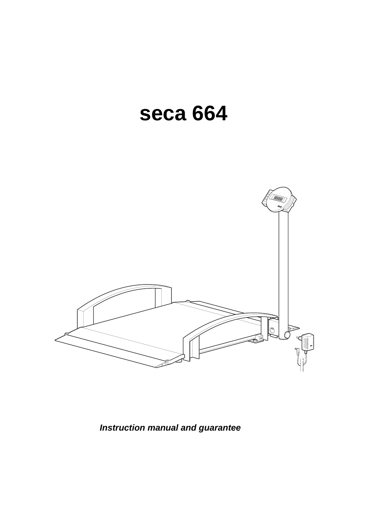# **seca 664**



**Instruction manual and guarantee**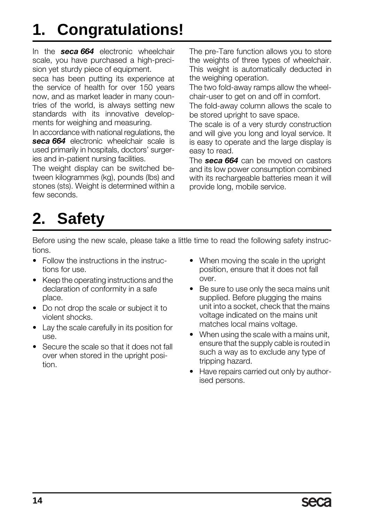# **1. Congratulations!**

In the *seca 664* electronic wheelchair scale, you have purchased a high-precision yet sturdy piece of equipment.

seca has been putting its experience at the service of health for over 150 years now, and as market leader in many countries of the world, is always setting new standards with its innovative developments for weighing and measuring.

In accordance with national regulations, the *seca 664* electronic wheelchair scale is used primarily in hospitals, doctors' surgeries and in-patient nursing facilities.

The weight display can be switched between kilogrammes (kg), pounds (lbs) and stones (sts). Weight is determined within a few seconds.

The pre-Tare function allows you to store the weights of three types of wheelchair. This weight is automatically deducted in the weighing operation.

The two fold-away ramps allow the wheelchair-user to get on and off in comfort.

The fold-away column allows the scale to be stored upright to save space.

The scale is of a very sturdy construction and will give you long and loyal service. It is easy to operate and the large display is easy to read.

The *seca 664* can be moved on castors and its low power consumption combined with its rechargeable batteries mean it will provide long, mobile service.

# **2. Safety**

Before using the new scale, please take a little time to read the following safety instructions.

- Follow the instructions in the instructions for use.
- Keep the operating instructions and the declaration of conformity in a safe place.
- Do not drop the scale or subject it to violent shocks.
- Lay the scale carefully in its position for use.
- Secure the scale so that it does not fall over when stored in the upright position.
- When moving the scale in the upright position, ensure that it does not fall over.
- Be sure to use only the seca mains unit supplied. Before plugging the mains unit into a socket, check that the mains voltage indicated on the mains unit matches local mains voltage.
- When using the scale with a mains unit, ensure that the supply cable is routed in such a way as to exclude any type of tripping hazard.
- Have repairs carried out only by authorised persons.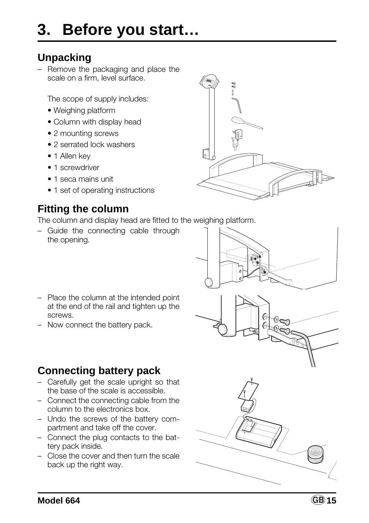### **Unpacking**

– Remove the packaging and place the scale on a firm, level surface.

The scope of supply includes:

- Weighing platform
- Column with display head
- 2 mounting screws
- 2 serrated lock washers
- 1 Allen key
- 1 screwdriver
- 1 seca mains unit
- 1 set of operating instructions

### **Fitting the column**

The column and display head are fitted to the weighing platform.

– Guide the connecting cable through the opening.



- Place the column at the intended point at the end of the rail and tighten up the screws.
- Now connect the battery pack.

## **Connecting battery pack**

- Carefully get the scale upright so that the base of the scale is accessible.
- Connect the connecting cable from the column to the electronics box.
- Undo the screws of the battery compartment and take off the cover.
- Connect the plug contacts to the battery pack inside.
- Close the cover and then turn the scale back up the right way.

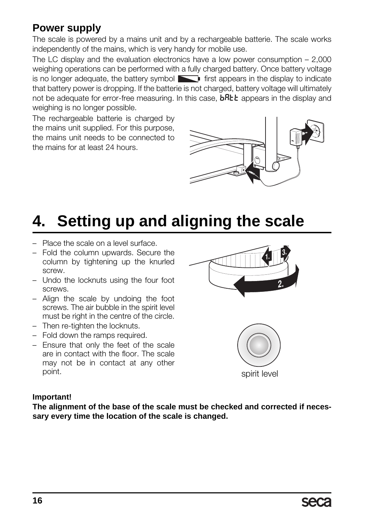### **Power supply**

The scale is powered by a mains unit and by a rechargeable batterie. The scale works independently of the mains, which is very handy for mobile use.

The LC display and the evaluation electronics have a low power consumption – 2,000 weighing operations can be performed with a fully charged battery. Once battery voltage is no longer adequate, the battery symbol  $\Box$  first appears in the display to indicate that battery power is dropping. If the batterie is not charged, battery voltage will ultimately not be adequate for error-free measuring. In this case,  $bR$ the appears in the display and weighing is no longer possible.

The rechargeable batterie is charged by the mains unit supplied. For this purpose, the mains unit needs to be connected to the mains for at least 24 hours.



# **4. Setting up and aligning the scale**

- Place the scale on a level surface.
- Fold the column upwards. Secure the column by tightening up the knurled screw.
- Undo the locknuts using the four foot screws.
- Align the scale by undoing the foot screws. The air bubble in the spirit level must be right in the centre of the circle.
- Then re-tighten the locknuts.
- Fold down the ramps required.
- Ensure that only the feet of the scale are in contact with the floor. The scale may not be in contact at any other point.





#### **Important!**

**The alignment of the base of the scale must be checked and corrected if necessary every time the location of the scale is changed.**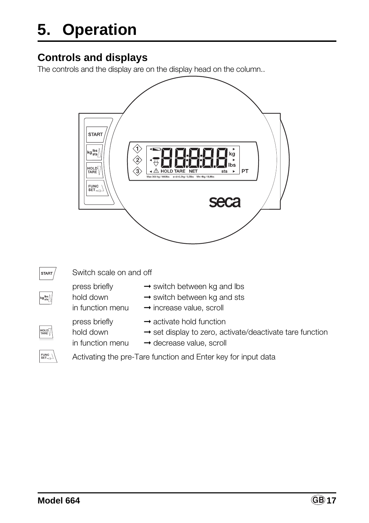# **5. Operation**

### **Controls and displays**

The controls and the display are on the display head on the column..

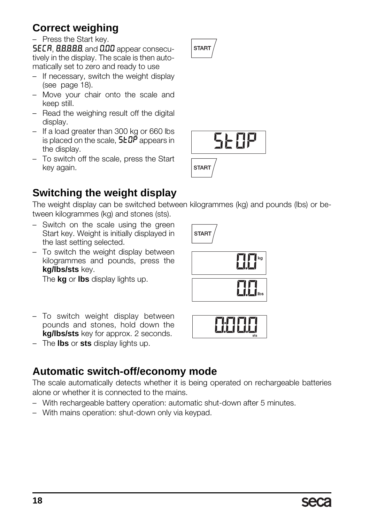# **Correct weighing**

### – Press the Start key.

SECR, 8.8.8.8.8. and 0.00 appear consecutively in the display. The scale is then automatically set to zero and ready to use

- If necessary, switch the weight display (see page 18).
- Move your chair onto the scale and keep still.
- Read the weighing result off the digital display.
- If a load greater than 300 kg or 660 lbs is placed on the scale,  $5E^{p}$  appears in the display.
- To switch off the scale, press the Start key again.





# **Switching the weight display**

The weight display can be switched between kilogrammes (kg) and pounds (lbs) or between kilogrammes (kg) and stones (sts).

STAR<sup>T</sup>

- Switch on the scale using the green Start key. Weight is initially displayed in the last setting selected.
- To switch the weight display between kilogrammes and pounds, press the **kg/lbs/sts** key.

The **kg** or **lbs** display lights up.

- To switch weight display between pounds and stones, hold down the **kg/lbs/sts** key for approx. 2 seconds.
- The **lbs** or **sts** display lights up.

## **Automatic switch-off/economy mode**

The scale automatically detects whether it is being operated on rechargeable batteries alone or whether it is connected to the mains.

- With rechargeable battery operation: automatic shut-down after 5 minutes.
- With mains operation: shut-down only via keypad.



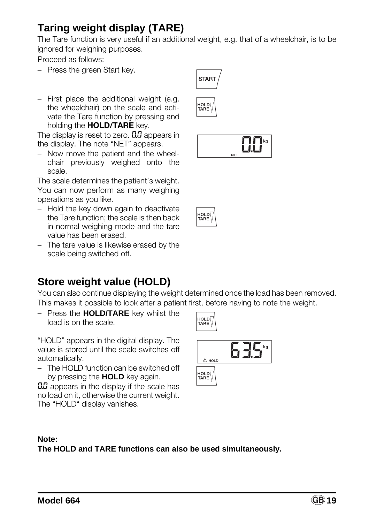## **Taring weight display (TARE)**

The Tare function is very useful if an additional weight, e.g. that of a wheelchair, is to be ignored for weighing purposes.

Proceed as follows:

- Press the green Start key.
- First place the additional weight (e.g. the wheelchair) on the scale and activate the Tare function by pressing and holding the **HOLD/TARE** key.

The display is reset to zero.  $0.0$  appears in the display. The note "NET" appears.

– Now move the patient and the wheelchair previously weighed onto the scale.

The scale determines the patient's weight. You can now perform as many weighing operations as you like.

- Hold the key down again to deactivate the Tare function; the scale is then back in normal weighing mode and the tare value has been erased.
- The tare value is likewise erased by the scale being switched off.

### **Store weight value (HOLD)**

You can also continue displaying the weight determined once the load has been removed. This makes it possible to look after a patient first, before having to note the weight.

– Press the **HOLD/TARE** key whilst the load is on the scale.

"HOLD" appears in the digital display. The value is stored until the scale switches off automatically.

– The HOLD function can be switched off by pressing the **HOLD** key again.

**0.0** appears in the display if the scale has no load on it, otherwise the current weight. The "HOLD" display vanishes.

| $\triangle$ HOLD |  |
|------------------|--|
| HOLD<br>TARE     |  |

#### **Note: The HOLD and TARE functions can also be used simultaneously.**









но∟р∏ TARE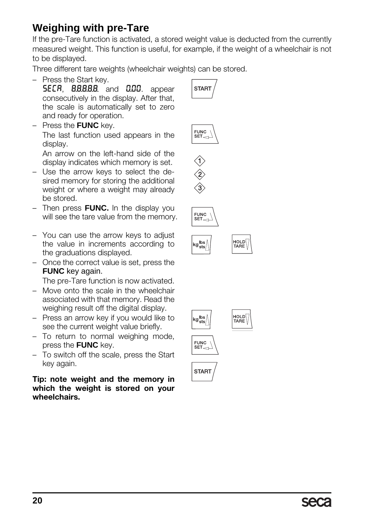### **Weighing with pre-Tare**

If the pre-Tare function is activated, a stored weight value is deducted from the currently measured weight. This function is useful, for example, if the weight of a wheelchair is not to be displayed.

Three different tare weights (wheelchair weights) can be stored.

– Press the Start key.

**SECR, 8.8.8.8.8.** and 0.00. appear consecutively in the display. After that, the scale is automatically set to zero and ready for operation.

– Press the **FUNC** key. The last function used appears in the display.

An arrow on the left-hand side of the display indicates which memory is set.

- Use the arrow keys to select the desired memory for storing the additional weight or where a weight may already be stored.
- Then press **FUNC.** In the display you will see the tare value from the memory.
- You can use the arrow keys to adjust the value in increments according to the graduations displayed.
- Once the correct value is set, press the **FUNC** key again.

The pre-Tare function is now activated.

- Move onto the scale in the wheelchair associated with that memory. Read the weighing result off the digital display.
- Press an arrow key if you would like to see the current weight value briefly.
- To return to normal weighing mode, press the **FUNC** key.
- To switch off the scale, press the Start key again.

**Tip: note weight and the memory in which the weight is stored on your wheelchairs.**







kg lbs<br><sup>kg</sup>sts≀





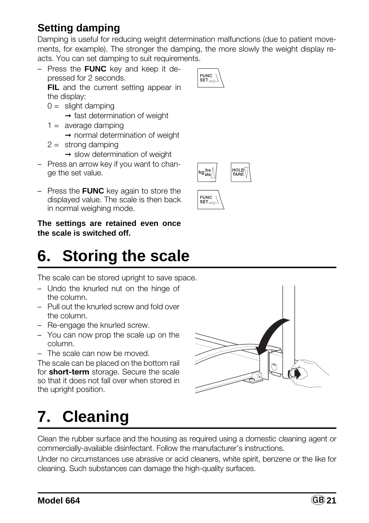The scale can be stored upright to save space.

- Undo the knurled nut on the hinge of the column.
- Pull out the knurled screw and fold over the column.
- Re-engage the knurled screw.
- You can now prop the scale up on the column.
- The scale can now be moved.

The scale can be placed on the bottom rail for **short-term** storage. Secure the scale so that it does not fall over when stored in the upright position.

# **7. Cleaning**

Clean the rubber surface and the housing as required using a domestic cleaning agent or commercially-available disinfectant. Follow the manufacturer's instructions.

Under no circumstances use abrasive or acid cleaners, white spirit, benzene or the like for cleaning. Such substances can damage the high-quality surfaces.

# **Setting damping**

Damping is useful for reducing weight determination malfunctions (due to patient movements, for example). The stronger the damping, the more slowly the weight display reacts. You can set damping to suit requirements.

– Press the **FUNC** key and keep it depressed for 2 seconds.

**FIL** and the current setting appear in the display:

- $0 =$  slight damping
	- $\rightarrow$  fast determination of weight
- $1 =$  average damping
	- ➞ normal determination of weight
- $2 =$  strong damping
	- $\rightarrow$  slow determination of weight
- Press an arrow key if you want to change the set value.
- Press the **FUNC** key again to store the displayed value. The scale is then back in normal weighing mode.

**The settings are retained even once the scale is switched off.**

# **6. Storing the scale**

F



**FUNC** יטוש<br>SET

kglbs<br>kg<sub>sts</sub>

**FUNC** SFT.

HOLD<sup>Í</sup><br>TARE

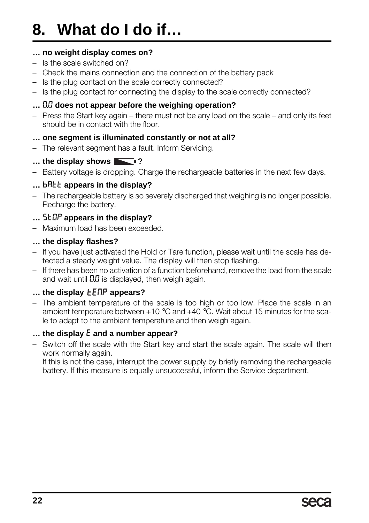# **8. What do I do if…**

#### **… no weight display comes on?**

- Is the scale switched on?
- Check the mains connection and the connection of the battery pack
- Is the plug contact on the scale correctly connected?
- Is the plug contact for connecting the display to the scale correctly connected?

#### **…** 0.0 **does not appear before the weighing operation?**

– Press the Start key again – there must not be any load on the scale – and only its feet should be in contact with the floor.

#### **… one segment is illuminated constantly or not at all?**

– The relevant segment has a fault. Inform Servicing.

### **… the display shows ?**

– Battery voltage is dropping. Charge the rechargeable batteries in the next few days.

#### **... bRtt** appears in the display?

– The rechargeable battery is so severely discharged that weighing is no longer possible. Recharge the battery.

### **…** St0p **appears in the display?**

– Maximum load has been exceeded.

#### **… the display flashes?**

- If you have just activated the Hold or Tare function, please wait until the scale has detected a steady weight value. The display will then stop flashing.
- If there has been no activation of a function beforehand, remove the load from the scale and wait until  $0.0$  is displayed, then weigh again.

### **... the display LENP appears?**

– The ambient temperature of the scale is too high or too low. Place the scale in an ambient temperature between  $+10$  °C and  $+40$  °C. Wait about 15 minutes for the scale to adapt to the ambient temperature and then weigh again.

#### **… the display** E **and a number appear?**

– Switch off the scale with the Start key and start the scale again. The scale will then work normally again.

If this is not the case, interrupt the power supply by briefly removing the rechargeable battery. If this measure is equally unsuccessful, inform the Service department.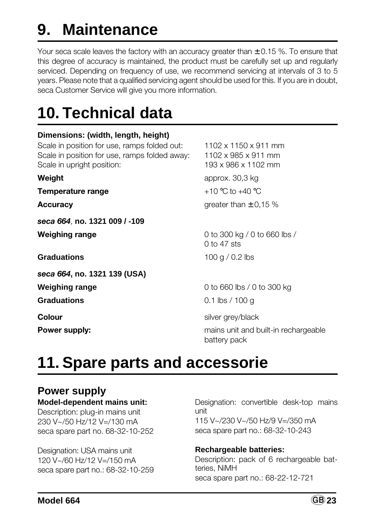# **9. Maintenance**

Your seca scale leaves the factory with an accuracy greater than  $\pm$  0.15 %. To ensure that this degree of accuracy is maintained, the product must be carefully set up and regularly serviced. Depending on frequency of use, we recommend servicing at intervals of 3 to 5 years. Please note that a qualified servicing agent should be used for this. If you are in doubt, seca Customer Service will give you more information.

# **10. Technical data**

### **Dimensions: (width, length, height)**

Scale in position for use, ramps folded out: 1102 x 1150 x 911 mm Scale in position for use, ramps folded away: 1102 x 985 x 911 mm Scale in upright position: 193 x 986 x 1102 mm

**Temperature range**  $+10 \degree C$  to  $+40 \degree C$ 

*seca 664*, **no. 1321 009 / -109**

**Graduations** 100 g / 0.2 lbs

*seca 664***, no. 1321 139 (USA)**

**Weight approx.** 30,3 kg **Accuracy** greater than  $\pm$  0,15 %

**Weighing range** 0 to 300 kg / 0 to 660 lbs / 0 to 47 sts

**Weighing range** 0 to 660 lbs / 0 to 300 kg **Graduations** 0.1 lbs / 100 g

**Colour** silver grey/black

**Power supply: Power supply: mains unit and built-in rechargeable** battery pack

# **11. Spare parts and accessorie**

### **Power supply**

### **Model-dependent mains unit:**

Description: plug-in mains unit 230 V~/50 Hz/12 V=/130 mA seca spare part no. 68-32-10-252

Designation: USA mains unit 120 V~/60 Hz/12 V=/150 mA seca spare part no.: 68-32-10-259 Designation: convertible desk-top mains unit 115 V~/230 V~/50 Hz/9 V=/350 mA seca spare part no.: 68-32-10-243

### **Rechargeable batteries:**

Description: pack of 6 rechargeable batteries, NiMH seca spare part no.: 68-22-12-721